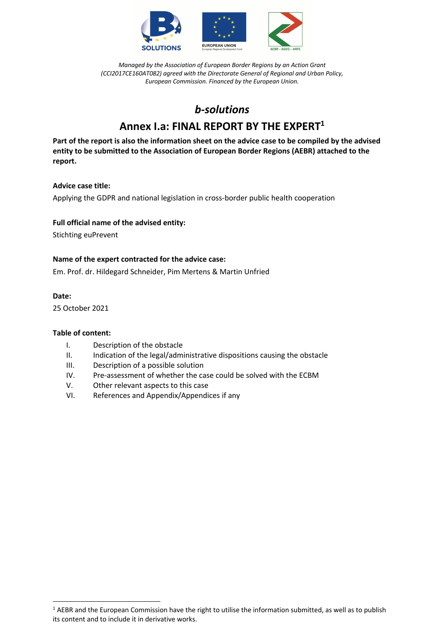

# *b-solutions*

# **Annex I.a: FINAL REPORT BY THE EXPERT1**

**Part of the report is also the information sheet on the advice case to be compiled by the advised entity to be submitted to the Association of European Border Regions (AEBR) attached to the report.**

## **Advice case title:**

Applying the GDPR and national legislation in cross-border public health cooperation

## **Full official name of the advised entity:**

Stichting euPrevent

## **Name of the expert contracted for the advice case:**

Em. Prof. dr. Hildegard Schneider, Pim Mertens & Martin Unfried

#### **Date:**

25 October 2021

#### **Table of content:**

- I. Description of the obstacle
- II. Indication of the legal/administrative dispositions causing the obstacle
- III. Description of a possible solution
- IV. Pre-assessment of whether the case could be solved with the ECBM
- V. Other relevant aspects to this case
- VI. References and Appendix/Appendices if any

 $1$  AEBR and the European Commission have the right to utilise the information submitted, as well as to publish its content and to include it in derivative works.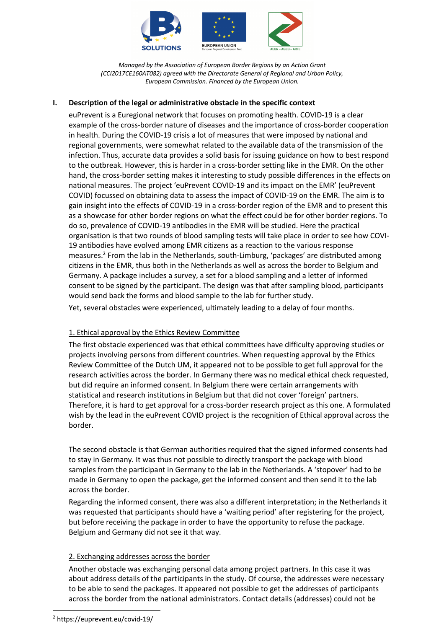

## **I. Description of the legal or administrative obstacle in the specific context**

euPrevent is a Euregional network that focuses on promoting health. COVID-19 is a clear example of the cross-border nature of diseases and the importance of cross-border cooperation in health. During the COVID-19 crisis a lot of measures that were imposed by national and regional governments, were somewhat related to the available data of the transmission of the infection. Thus, accurate data provides a solid basis for issuing guidance on how to best respond to the outbreak. However, this is harder in a cross-border setting like in the EMR. On the other hand, the cross-border setting makes it interesting to study possible differences in the effects on national measures. The project 'euPrevent COVID-19 and its impact on the EMR' (euPrevent COVID) focussed on obtaining data to assess the impact of COVID-19 on the EMR. The aim is to gain insight into the effects of COVID-19 in a cross-border region of the EMR and to present this as a showcase for other border regions on what the effect could be for other border regions. To do so, prevalence of COVID-19 antibodies in the EMR will be studied. Here the practical organisation is that two rounds of blood sampling tests will take place in order to see how COVI-19 antibodies have evolved among EMR citizens as a reaction to the various response measures.<sup>2</sup> From the lab in the Netherlands, south-Limburg, 'packages' are distributed among citizens in the EMR, thus both in the Netherlands as well as across the border to Belgium and Germany. A package includes a survey, a set for a blood sampling and a letter of informed consent to be signed by the participant. The design was that after sampling blood, participants would send back the forms and blood sample to the lab for further study.

Yet, several obstacles were experienced, ultimately leading to a delay of four months.

#### 1. Ethical approval by the Ethics Review Committee

The first obstacle experienced was that ethical committees have difficulty approving studies or projects involving persons from different countries. When requesting approval by the Ethics Review Committee of the Dutch UM, it appeared not to be possible to get full approval for the research activities across the border. In Germany there was no medical ethical check requested, but did require an informed consent. In Belgium there were certain arrangements with statistical and research institutions in Belgium but that did not cover 'foreign' partners. Therefore, it is hard to get approval for a cross-border research project as this one. A formulated wish by the lead in the euPrevent COVID project is the recognition of Ethical approval across the border.

The second obstacle is that German authorities required that the signed informed consents had to stay in Germany. It was thus not possible to directly transport the package with blood samples from the participant in Germany to the lab in the Netherlands. A 'stopover' had to be made in Germany to open the package, get the informed consent and then send it to the lab across the border.

Regarding the informed consent, there was also a different interpretation; in the Netherlands it was requested that participants should have a 'waiting period' after registering for the project, but before receiving the package in order to have the opportunity to refuse the package. Belgium and Germany did not see it that way.

#### 2. Exchanging addresses across the border

Another obstacle was exchanging personal data among project partners. In this case it was about address details of the participants in the study. Of course, the addresses were necessary to be able to send the packages. It appeared not possible to get the addresses of participants across the border from the national administrators. Contact details (addresses) could not be

<sup>2</sup> https://euprevent.eu/covid-19/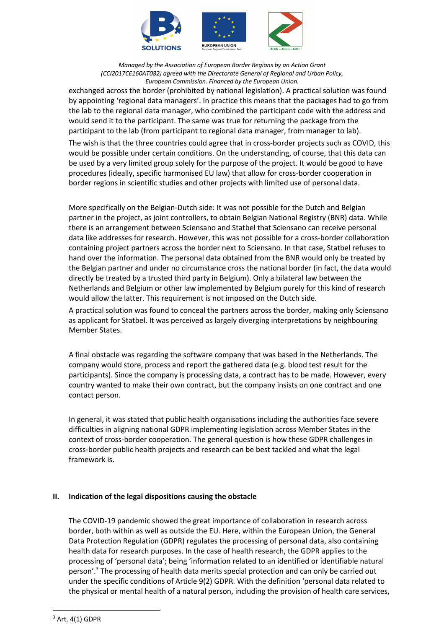

exchanged across the border (prohibited by national legislation). A practical solution was found by appointing 'regional data managers'. In practice this means that the packages had to go from the lab to the regional data manager, who combined the participant code with the address and would send it to the participant. The same was true for returning the package from the participant to the lab (from participant to regional data manager, from manager to lab).

The wish is that the three countries could agree that in cross-border projects such as COVID, this would be possible under certain conditions. On the understanding, of course, that this data can be used by a very limited group solely for the purpose of the project. It would be good to have procedures (ideally, specific harmonised EU law) that allow for cross-border cooperation in border regions in scientific studies and other projects with limited use of personal data.

More specifically on the Belgian-Dutch side: It was not possible for the Dutch and Belgian partner in the project, as joint controllers, to obtain Belgian National Registry (BNR) data. While there is an arrangement between Sciensano and Statbel that Sciensano can receive personal data like addresses for research. However, this was not possible for a cross-border collaboration containing project partners across the border next to Sciensano. In that case, Statbel refuses to hand over the information. The personal data obtained from the BNR would only be treated by the Belgian partner and under no circumstance cross the national border (in fact, the data would directly be treated by a trusted third party in Belgium). Only a bilateral law between the Netherlands and Belgium or other law implemented by Belgium purely for this kind of research would allow the latter. This requirement is not imposed on the Dutch side.

A practical solution was found to conceal the partners across the border, making only Sciensano as applicant for Statbel. It was perceived as largely diverging interpretations by neighbouring Member States.

A final obstacle was regarding the software company that was based in the Netherlands. The company would store, process and report the gathered data (e.g. blood test result for the participants). Since the company is processing data, a contract has to be made. However, every country wanted to make their own contract, but the company insists on one contract and one contact person.

In general, it was stated that public health organisations including the authorities face severe difficulties in aligning national GDPR implementing legislation across Member States in the context of cross-border cooperation. The general question is how these GDPR challenges in cross-border public health projects and research can be best tackled and what the legal framework is.

#### **II. Indication of the legal dispositions causing the obstacle**

The COVID-19 pandemic showed the great importance of collaboration in research across border, both within as well as outside the EU. Here, within the European Union, the General Data Protection Regulation (GDPR) regulates the processing of personal data, also containing health data for research purposes. In the case of health research, the GDPR applies to the processing of 'personal data'; being 'information related to an identified or identifiable natural person'.3 The processing of health data merits special protection and can only be carried out under the specific conditions of Article 9(2) GDPR. With the definition 'personal data related to the physical or mental health of a natural person, including the provision of health care services,

 $3$  Art. 4(1) GDPR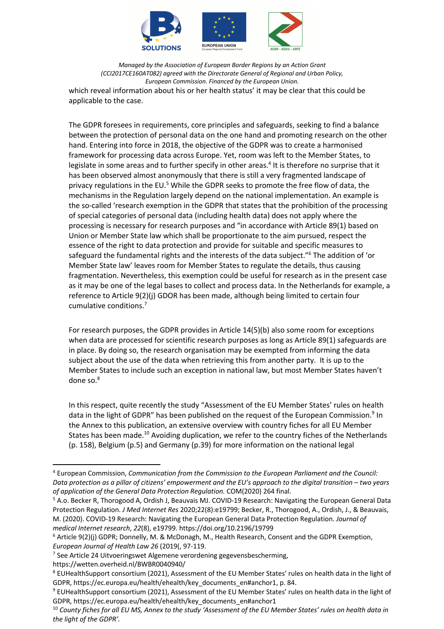

*Managed by the Association of European Border Regions by an Action Grant (CCI2017CE160AT082) agreed with the Directorate General of Regional and Urban Policy, European Commission. Financed by the European Union.* which reveal information about his or her health status' it may be clear that this could be applicable to the case.

The GDPR foresees in requirements, core principles and safeguards, seeking to find a balance between the protection of personal data on the one hand and promoting research on the other hand. Entering into force in 2018, the objective of the GDPR was to create a harmonised framework for processing data across Europe. Yet, room was left to the Member States, to legislate in some areas and to further specify in other areas.<sup>4</sup> It is therefore no surprise that it has been observed almost anonymously that there is still a very fragmented landscape of privacy regulations in the EU.<sup>5</sup> While the GDPR seeks to promote the free flow of data, the mechanisms in the Regulation largely depend on the national implementation. An example is the so-called 'research exemption in the GDPR that states that the prohibition of the processing of special categories of personal data (including health data) does not apply where the processing is necessary for research purposes and "in accordance with Article 89(1) based on Union or Member State law which shall be proportionate to the aim pursued, respect the essence of the right to data protection and provide for suitable and specific measures to safeguard the fundamental rights and the interests of the data subject."<sup>6</sup> The addition of 'or Member State law' leaves room for Member States to regulate the details, thus causing fragmentation. Nevertheless, this exemption could be useful for research as in the present case as it may be one of the legal bases to collect and process data. In the Netherlands for example, a reference to Article 9(2)(j) GDOR has been made, although being limited to certain four cumulative conditions.7

For research purposes, the GDPR provides in Article 14(5)(b) also some room for exceptions when data are processed for scientific research purposes as long as Article 89(1) safeguards are in place. By doing so, the research organisation may be exempted from informing the data subject about the use of the data when retrieving this from another party. It is up to the Member States to include such an exception in national law, but most Member States haven't done so.<sup>8</sup>

In this respect, quite recently the study "Assessment of the EU Member States' rules on health data in the light of GDPR" has been published on the request of the European Commission.<sup>9</sup> In the Annex to this publication, an extensive overview with country fiches for all EU Member States has been made.<sup>10</sup> Avoiding duplication, we refer to the country fiches of the Netherlands (p. 158), Belgium (p.5) and Germany (p.39) for more information on the national legal

https://wetten.overheid.nl/BWBR0040940/

<sup>4</sup> European Commission, *Communication from the Commission to the European Parliament and the Council: Data protection as a pillar of citizens' empowerment and the EU's approach to the digital transition – two years of application of the General Data Protection Regulation.* COM(2020) 264 final.

<sup>5</sup> A.o. Becker R, Thorogood A, Ordish J, Beauvais MJ. COVID-19 Research: Navigating the European General Data Protection Regulation. *J Med Internet Res* 2020;22(8):e19799; Becker, R., Thorogood, A., Ordish, J., & Beauvais, M. (2020). COVID-19 Research: Navigating the European General Data Protection Regulation. *Journal of medical Internet research*, *22*(8), e19799. https://doi.org/10.2196/19799

<sup>&</sup>lt;sup>6</sup> Article 9(2)(j) GDPR; Donnelly, M. & McDonagh, M., Health Research, Consent and the GDPR Exemption, *European Journal of Health Law 26* (2019(, 97-119.

 $7$  See Article 24 Uitvoeringswet Algemene verordening gegevensbescherming,

<sup>8</sup> EUHealthSupport consortium (2021), Assessment of the EU Member States' rules on health data in the light of GDPR, https://ec.europa.eu/health/ehealth/key\_documents\_en#anchor1, p. 84.

<sup>9</sup> EUHealthSupport consortium (2021), Assessment of the EU Member States' rules on health data in the light of GDPR, https://ec.europa.eu/health/ehealth/key\_documents\_en#anchor1

<sup>10</sup> *County fiches for all EU MS, Annex to the study 'Assessment of the EU Member States' rules on health data in the light of the GDPR'.*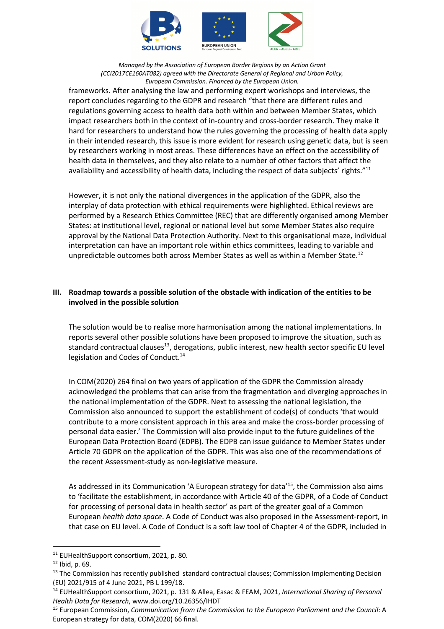

frameworks. After analysing the law and performing expert workshops and interviews, the report concludes regarding to the GDPR and research "that there are different rules and regulations governing access to health data both within and between Member States, which impact researchers both in the context of in-country and cross-border research. They make it hard for researchers to understand how the rules governing the processing of health data apply in their intended research, this issue is more evident for research using genetic data, but is seen by researchers working in most areas. These differences have an effect on the accessibility of health data in themselves, and they also relate to a number of other factors that affect the availability and accessibility of health data, including the respect of data subjects' rights."<sup>11</sup>

However, it is not only the national divergences in the application of the GDPR, also the interplay of data protection with ethical requirements were highlighted. Ethical reviews are performed by a Research Ethics Committee (REC) that are differently organised among Member States: at institutional level, regional or national level but some Member States also require approval by the National Data Protection Authority. Next to this organisational maze, individual interpretation can have an important role within ethics committees, leading to variable and unpredictable outcomes both across Member States as well as within a Member State.<sup>12</sup>

# **III. Roadmap towards a possible solution of the obstacle with indication of the entities to be involved in the possible solution**

The solution would be to realise more harmonisation among the national implementations. In reports several other possible solutions have been proposed to improve the situation, such as standard contractual clauses<sup>13</sup>, derogations, public interest, new health sector specific EU level legislation and Codes of Conduct.<sup>14</sup>

In COM(2020) 264 final on two years of application of the GDPR the Commission already acknowledged the problems that can arise from the fragmentation and diverging approaches in the national implementation of the GDPR. Next to assessing the national legislation, the Commission also announced to support the establishment of code(s) of conducts 'that would contribute to a more consistent approach in this area and make the cross-border processing of personal data easier.' The Commission will also provide input to the future guidelines of the European Data Protection Board (EDPB). The EDPB can issue guidance to Member States under Article 70 GDPR on the application of the GDPR. This was also one of the recommendations of the recent Assessment-study as non-legislative measure.

As addressed in its Communication 'A European strategy for data<sup>'15</sup>, the Commission also aims to 'facilitate the establishment, in accordance with Article 40 of the GDPR, of a Code of Conduct for processing of personal data in health sector' as part of the greater goal of a Common European *health data space*. A Code of Conduct was also proposed in the Assessment-report, in that case on EU level. A Code of Conduct is a soft law tool of Chapter 4 of the GDPR, included in

<sup>11</sup> EUHealthSupport consortium, 2021, p. 80.

 $12$  Ibid, p. 69.

 $13$  The Commission has recently published standard contractual clauses; Commission Implementing Decision (EU) 2021/915 of 4 June 2021, PB L 199/18.

<sup>14</sup> EUHealthSupport consortium, 2021, p. 131 & Allea, Easac & FEAM, 2021, *International Sharing of Personal Health Data for Research*, www.doi.org/10.26356/IHDT

<sup>15</sup> European Commission, *Communication from the Commission to the European Parliament and the Council*: A European strategy for data, COM(2020) 66 final.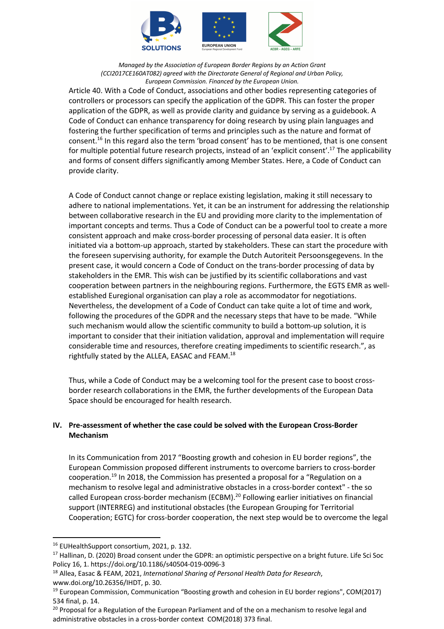

Article 40. With a Code of Conduct, associations and other bodies representing categories of controllers or processors can specify the application of the GDPR. This can foster the proper application of the GDPR, as well as provide clarity and guidance by serving as a guidebook. A Code of Conduct can enhance transparency for doing research by using plain languages and fostering the further specification of terms and principles such as the nature and format of consent.16 In this regard also the term 'broad consent' has to be mentioned, that is one consent for multiple potential future research projects, instead of an 'explicit consent'.17 The applicability and forms of consent differs significantly among Member States. Here, a Code of Conduct can provide clarity.

A Code of Conduct cannot change or replace existing legislation, making it still necessary to adhere to national implementations. Yet, it can be an instrument for addressing the relationship between collaborative research in the EU and providing more clarity to the implementation of important concepts and terms. Thus a Code of Conduct can be a powerful tool to create a more consistent approach and make cross-border processing of personal data easier. It is often initiated via a bottom-up approach, started by stakeholders. These can start the procedure with the foreseen supervising authority, for example the Dutch Autoriteit Persoonsgegevens. In the present case, it would concern a Code of Conduct on the trans-border processing of data by stakeholders in the EMR. This wish can be justified by its scientific collaborations and vast cooperation between partners in the neighbouring regions. Furthermore, the EGTS EMR as wellestablished Euregional organisation can play a role as accommodator for negotiations. Nevertheless, the development of a Code of Conduct can take quite a lot of time and work, following the procedures of the GDPR and the necessary steps that have to be made. "While such mechanism would allow the scientific community to build a bottom-up solution, it is important to consider that their initiation validation, approval and implementation will require considerable time and resources, therefore creating impediments to scientific research.", as rightfully stated by the ALLEA, EASAC and FEAM.18

Thus, while a Code of Conduct may be a welcoming tool for the present case to boost crossborder research collaborations in the EMR, the further developments of the European Data Space should be encouraged for health research.

# **IV. Pre-assessment of whether the case could be solved with the European Cross-Border Mechanism**

In its Communication from 2017 "Boosting growth and cohesion in EU border regions", the European Commission proposed different instruments to overcome barriers to cross-border cooperation.19 In 2018, the Commission has presented a proposal for a "Regulation on a mechanism to resolve legal and administrative obstacles in a cross-border context" - the so called European cross-border mechanism (ECBM).<sup>20</sup> Following earlier initiatives on financial support (INTERREG) and institutional obstacles (the European Grouping for Territorial Cooperation; EGTC) for cross-border cooperation, the next step would be to overcome the legal

<sup>&</sup>lt;sup>16</sup> EUHealthSupport consortium, 2021, p. 132.

<sup>&</sup>lt;sup>17</sup> Hallinan, D. (2020) Broad consent under the GDPR: an optimistic perspective on a bright future. Life Sci Soc Policy 16, 1. https://doi.org/10.1186/s40504-019-0096-3

<sup>18</sup> Allea, Easac & FEAM, 2021, *International Sharing of Personal Health Data for Research*, www.doi.org/10.26356/IHDT, p. 30.

<sup>19</sup> European Commission, Communication "Boosting growth and cohesion in EU border regions", COM(2017) 534 final, p. 14.

<sup>&</sup>lt;sup>20</sup> Proposal for a Regulation of the European Parliament and of the on a mechanism to resolve legal and administrative obstacles in a cross-border context COM(2018) 373 final.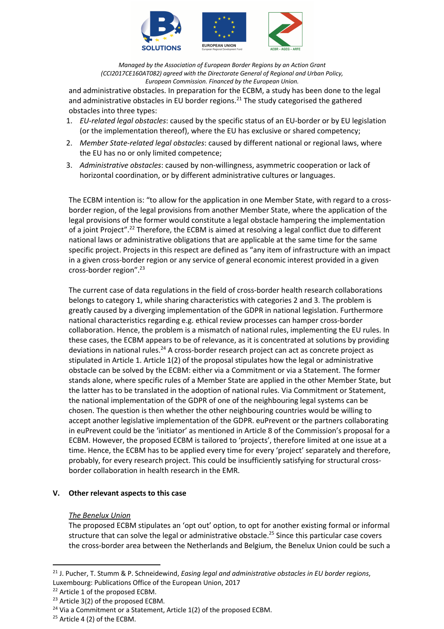

and administrative obstacles. In preparation for the ECBM, a study has been done to the legal and administrative obstacles in EU border regions. $^{21}$  The study categorised the gathered obstacles into three types:

- 1. *EU-related legal obstacles*: caused by the specific status of an EU-border or by EU legislation (or the implementation thereof), where the EU has exclusive or shared competency;
- 2. *Member State-related legal obstacles*: caused by different national or regional laws, where the EU has no or only limited competence;
- 3. *Administrative obstacles*: caused by non-willingness, asymmetric cooperation or lack of horizontal coordination, or by different administrative cultures or languages.

The ECBM intention is: "to allow for the application in one Member State, with regard to a crossborder region, of the legal provisions from another Member State, where the application of the legal provisions of the former would constitute a legal obstacle hampering the implementation of a joint Project".<sup>22</sup> Therefore, the ECBM is aimed at resolving a legal conflict due to different national laws or administrative obligations that are applicable at the same time for the same specific project. Projects in this respect are defined as "any item of infrastructure with an impact in a given cross-border region or any service of general economic interest provided in a given cross-border region".23

The current case of data regulations in the field of cross-border health research collaborations belongs to category 1, while sharing characteristics with categories 2 and 3. The problem is greatly caused by a diverging implementation of the GDPR in national legislation. Furthermore national characteristics regarding e.g. ethical review processes can hamper cross-border collaboration. Hence, the problem is a mismatch of national rules, implementing the EU rules. In these cases, the ECBM appears to be of relevance, as it is concentrated at solutions by providing deviations in national rules.<sup>24</sup> A cross-border research project can act as concrete project as stipulated in Article 1. Article 1(2) of the proposal stipulates how the legal or administrative obstacle can be solved by the ECBM: either via a Commitment or via a Statement. The former stands alone, where specific rules of a Member State are applied in the other Member State, but the latter has to be translated in the adoption of national rules. Via Commitment or Statement, the national implementation of the GDPR of one of the neighbouring legal systems can be chosen. The question is then whether the other neighbouring countries would be willing to accept another legislative implementation of the GDPR. euPrevent or the partners collaborating in euPrevent could be the 'initiator' as mentioned in Article 8 of the Commission's proposal for a ECBM. However, the proposed ECBM is tailored to 'projects', therefore limited at one issue at a time. Hence, the ECBM has to be applied every time for every 'project' separately and therefore, probably, for every research project. This could be insufficiently satisfying for structural crossborder collaboration in health research in the EMR.

#### **V. Other relevant aspects to this case**

#### *The Benelux Union*

The proposed ECBM stipulates an 'opt out' option, to opt for another existing formal or informal structure that can solve the legal or administrative obstacle.<sup>25</sup> Since this particular case covers the cross-border area between the Netherlands and Belgium, the Benelux Union could be such a

<sup>21</sup> J. Pucher, T. Stumm & P. Schneidewind, *Easing legal and administrative obstacles in EU border regions*, Luxembourg: Publications Office of the European Union, 2017

<sup>22</sup> Article 1 of the proposed ECBM.

<sup>&</sup>lt;sup>23</sup> Article 3(2) of the proposed ECBM.

 $24$  Via a Commitment or a Statement, Article 1(2) of the proposed ECBM.

 $25$  Article 4 (2) of the ECBM.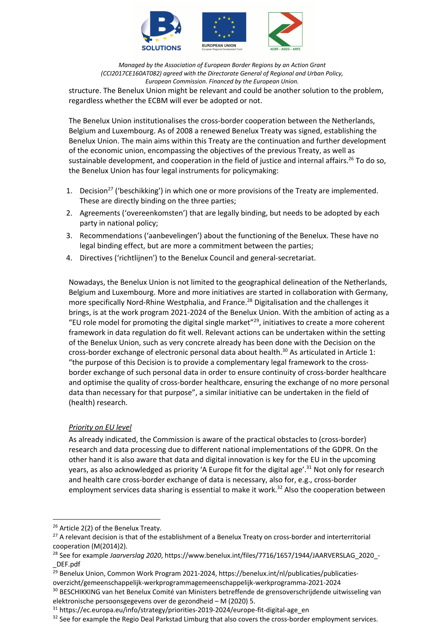

*Managed by the Association of European Border Regions by an Action Grant (CCI2017CE160AT082) agreed with the Directorate General of Regional and Urban Policy, European Commission. Financed by the European Union.* structure. The Benelux Union might be relevant and could be another solution to the problem, regardless whether the ECBM will ever be adopted or not.

The Benelux Union institutionalises the cross-border cooperation between the Netherlands, Belgium and Luxembourg. As of 2008 a renewed Benelux Treaty was signed, establishing the Benelux Union. The main aims within this Treaty are the continuation and further development of the economic union, encompassing the objectives of the previous Treaty, as well as sustainable development, and cooperation in the field of justice and internal affairs.<sup>26</sup> To do so, the Benelux Union has four legal instruments for policymaking:

- 1. Decision<sup>27</sup> ('beschikking') in which one or more provisions of the Treaty are implemented. These are directly binding on the three parties;
- 2. Agreements ('overeenkomsten') that are legally binding, but needs to be adopted by each party in national policy;
- 3. Recommendations ('aanbevelingen') about the functioning of the Benelux. These have no legal binding effect, but are more a commitment between the parties;
- 4. Directives ('richtlijnen') to the Benelux Council and general-secretariat.

Nowadays, the Benelux Union is not limited to the geographical delineation of the Netherlands, Belgium and Luxembourg. More and more initiatives are started in collaboration with Germany, more specifically Nord-Rhine Westphalia, and France.<sup>28</sup> Digitalisation and the challenges it brings, is at the work program 2021-2024 of the Benelux Union. With the ambition of acting as a "EU role model for promoting the digital single market"29, initiatives to create a more coherent framework in data regulation do fit well. Relevant actions can be undertaken within the setting of the Benelux Union, such as very concrete already has been done with the Decision on the cross-border exchange of electronic personal data about health.<sup>30</sup> As articulated in Article 1: "the purpose of this Decision is to provide a complementary legal framework to the crossborder exchange of such personal data in order to ensure continuity of cross-border healthcare and optimise the quality of cross-border healthcare, ensuring the exchange of no more personal data than necessary for that purpose", a similar initiative can be undertaken in the field of (health) research.

# *Priority on EU level*

As already indicated, the Commission is aware of the practical obstacles to (cross-border) research and data processing due to different national implementations of the GDPR. On the other hand it is also aware that data and digital innovation is key for the EU in the upcoming years, as also acknowledged as priority 'A Europe fit for the digital age'.<sup>31</sup> Not only for research and health care cross-border exchange of data is necessary, also for, e.g., cross-border employment services data sharing is essential to make it work.<sup>32</sup> Also the cooperation between

<sup>&</sup>lt;sup>26</sup> Article 2(2) of the Benelux Treaty.

<sup>&</sup>lt;sup>27</sup> A relevant decision is that of the establishment of a Benelux Treaty on cross-border and interterritorial cooperation (M(2014)2).

<sup>&</sup>lt;sup>28</sup> See for example *Jaarverslag 2020*, https://www.benelux.int/files/7716/1657/1944/JAARVERSLAG\_2020\_-\_DEF.pdf

<sup>&</sup>lt;sup>29</sup> Benelux Union, Common Work Program 2021-2024, https://benelux.int/nl/publicaties/publicatiesoverzicht/gemeenschappelijk-werkprogrammagemeenschappelijk-werkprogramma-2021-2024

<sup>&</sup>lt;sup>30</sup> BESCHIKKING van het Benelux Comité van Ministers betreffende de grensoverschrijdende uitwisseling van elektronische persoonsgegevens over de gezondheid – M (2020) 5.

<sup>&</sup>lt;sup>31</sup> https://ec.europa.eu/info/strategy/priorities-2019-2024/europe-fit-digital-age\_en

<sup>&</sup>lt;sup>32</sup> See for example the Regio Deal Parkstad Limburg that also covers the cross-border employment services.